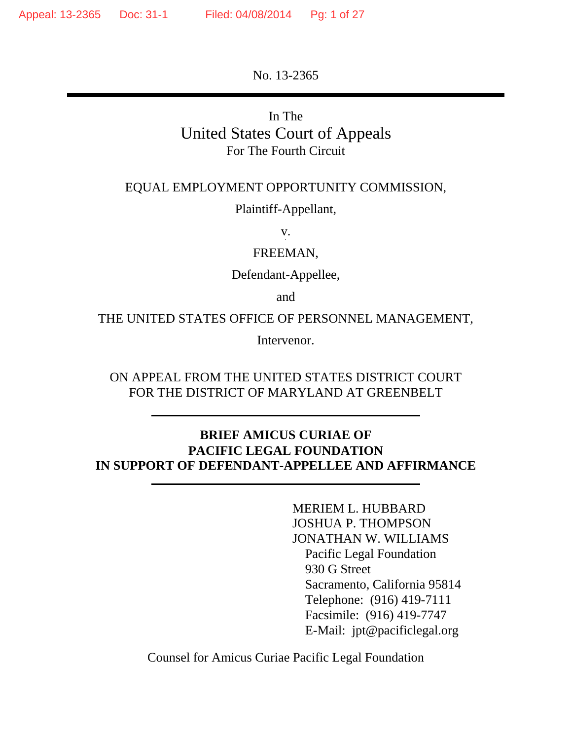No. 13-2365

## In The United States Court of Appeals For The Fourth Circuit

#### EQUAL EMPLOYMENT OPPORTUNITY COMMISSION,

Plaintiff-Appellant,

v. `

FREEMAN,

Defendant-Appellee,

and

THE UNITED STATES OFFICE OF PERSONNEL MANAGEMENT,

Intervenor.

ON APPEAL FROM THE UNITED STATES DISTRICT COURT FOR THE DISTRICT OF MARYLAND AT GREENBELT

#### **BRIEF AMICUS CURIAE OF PACIFIC LEGAL FOUNDATION IN SUPPORT OF DEFENDANT-APPELLEE AND AFFIRMANCE**

MERIEM L. HUBBARD JOSHUA P. THOMPSON JONATHAN W. WILLIAMS Pacific Legal Foundation 930 G Street Sacramento, California 95814 Telephone: (916) 419-7111 Facsimile: (916) 419-7747 E-Mail: jpt@pacificlegal.org

Counsel for Amicus Curiae Pacific Legal Foundation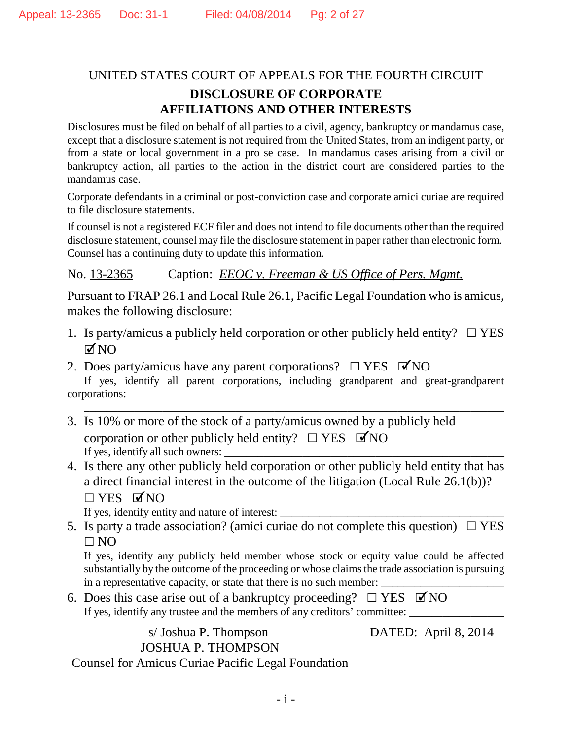## UNITED STATES COURT OF APPEALS FOR THE FOURTH CIRCUIT **DISCLOSURE OF CORPORATE AFFILIATIONS AND OTHER INTERESTS**

Disclosures must be filed on behalf of all parties to a civil, agency, bankruptcy or mandamus case, except that a disclosure statement is not required from the United States, from an indigent party, or from a state or local government in a pro se case. In mandamus cases arising from a civil or bankruptcy action, all parties to the action in the district court are considered parties to the mandamus case.

Corporate defendants in a criminal or post-conviction case and corporate amici curiae are required to file disclosure statements.

If counsel is not a registered ECF filer and does not intend to file documents other than the required disclosure statement, counsel may file the disclosure statement in paper rather than electronic form. Counsel has a continuing duty to update this information.

No. 13-2365 Caption: *EEOC v. Freeman & US Office of Pers. Mgmt.*

Pursuant to FRAP 26.1 and Local Rule 26.1, Pacific Legal Foundation who is amicus, makes the following disclosure:

- 1. Is party/amicus a publicly held corporation or other publicly held entity?  $\Box$  YES  $MNO$
- 2. Does party/amicus have any parent corporations?  $\square$  YES  $\blacktriangledown$ NO

If yes, identify all parent corporations, including grandparent and great-grandparent corporations:

\_\_\_\_\_\_\_\_\_\_\_\_\_\_\_\_\_\_\_\_\_\_\_\_\_\_\_\_\_\_\_\_\_\_\_\_\_\_\_\_\_\_\_\_\_\_\_\_\_\_\_\_\_\_\_\_\_\_\_\_\_\_\_\_\_\_\_\_\_\_\_\_\_\_\_

- 3. Is 10% or more of the stock of a party/amicus owned by a publicly held corporation or other publicly held entity?  $\Box$  YES  $\Box$  NO If yes, identify all such owners: \_\_\_\_\_\_\_\_\_\_\_\_\_\_\_\_\_\_\_\_\_\_\_\_\_\_\_\_\_\_\_\_\_\_\_\_\_\_\_\_\_\_\_\_\_\_\_\_\_\_
- 4. Is there any other publicly held corporation or other publicly held entity that has a direct financial interest in the outcome of the litigation (Local Rule 26.1(b))?  $\Box$  YES  $\Box$  NO

If yes, identify entity and nature of interest:

5. Is party a trade association? (amici curiae do not complete this question)  $\Box$  YES  $\Box$  NO

If yes, identify any publicly held member whose stock or equity value could be affected substantially by the outcome of the proceeding or whose claims the trade association is pursuing in a representative capacity, or state that there is no such member:

6. Does this case arise out of a bankruptcy proceeding?  $\Box$  YES  $\Box$  NO If yes, identify any trustee and the members of any creditors' committee:

s/Joshua P. Thompson DATED: April 8, 2014 JOSHUA P. THOMPSON

Counsel for Amicus Curiae Pacific Legal Foundation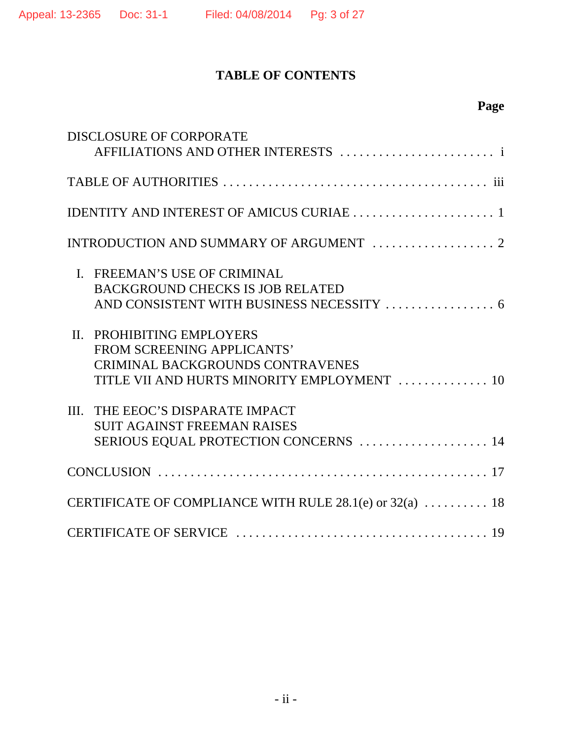## **TABLE OF CONTENTS**

# **Page**

| <b>DISCLOSURE OF CORPORATE</b>                                                                                                                           |
|----------------------------------------------------------------------------------------------------------------------------------------------------------|
|                                                                                                                                                          |
| IDENTITY AND INTEREST OF AMICUS CURIAE  1                                                                                                                |
|                                                                                                                                                          |
| I. FREEMAN'S USE OF CRIMINAL<br><b>BACKGROUND CHECKS IS JOB RELATED</b><br>AND CONSISTENT WITH BUSINESS NECESSITY  6                                     |
| PROHIBITING EMPLOYERS<br>$\Pi$ .<br>FROM SCREENING APPLICANTS'<br><b>CRIMINAL BACKGROUNDS CONTRAVENES</b><br>TITLE VII AND HURTS MINORITY EMPLOYMENT  10 |
| III. THE EEOC'S DISPARATE IMPACT<br><b>SUIT AGAINST FREEMAN RAISES</b><br>SERIOUS EQUAL PROTECTION CONCERNS  14                                          |
|                                                                                                                                                          |
| CERTIFICATE OF COMPLIANCE WITH RULE 28.1(e) or 32(a)  18                                                                                                 |
|                                                                                                                                                          |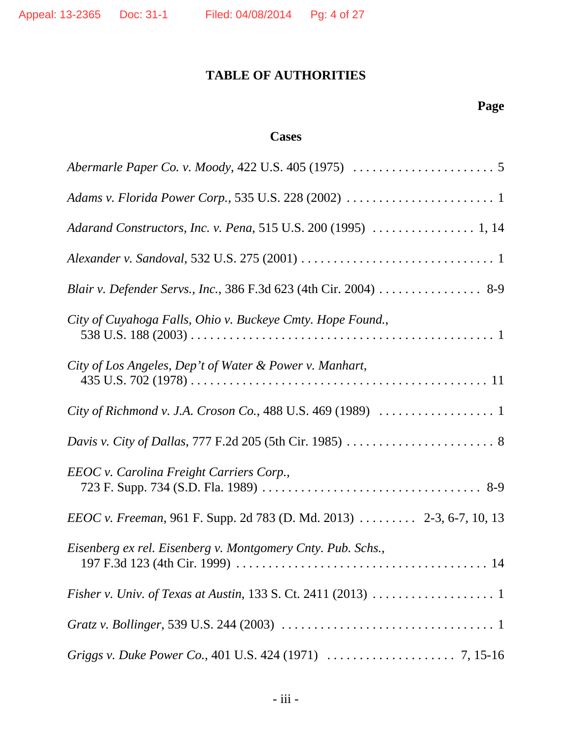## **TABLE OF AUTHORITIES**

# **Page**

## **Cases**

| Blair v. Defender Servs., Inc., 386 F.3d 623 (4th Cir. 2004) 8-9     |
|----------------------------------------------------------------------|
| City of Cuyahoga Falls, Ohio v. Buckeye Cmty. Hope Found.,           |
| City of Los Angeles, Dep't of Water & Power v. Manhart,              |
|                                                                      |
|                                                                      |
| EEOC v. Carolina Freight Carriers Corp.,                             |
| EEOC v. Freeman, 961 F. Supp. 2d 783 (D. Md. 2013)  2-3, 6-7, 10, 13 |
| Eisenberg ex rel. Eisenberg v. Montgomery Cnty. Pub. Schs.,          |
|                                                                      |
|                                                                      |
|                                                                      |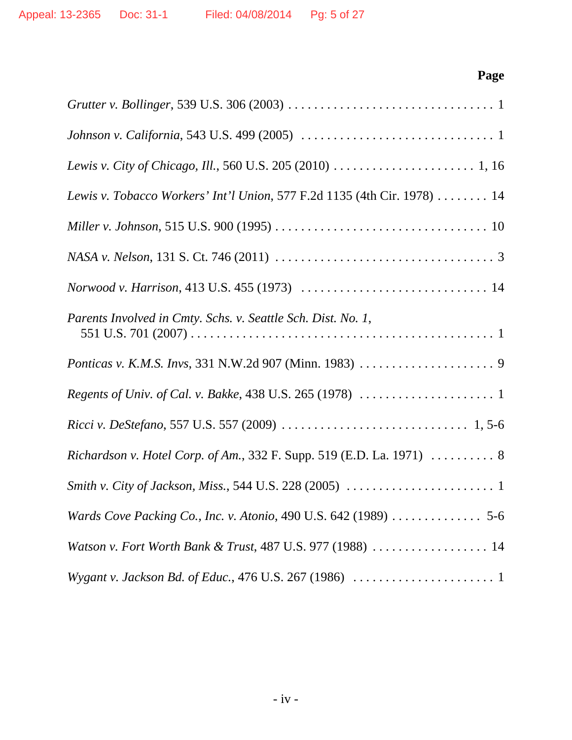# **Page**

| Lewis v. Tobacco Workers' Int'l Union, 577 F.2d 1135 (4th Cir. 1978)  14 |
|--------------------------------------------------------------------------|
|                                                                          |
|                                                                          |
|                                                                          |
| Parents Involved in Cmty. Schs. v. Seattle Sch. Dist. No. 1,             |
|                                                                          |
|                                                                          |
|                                                                          |
| Richardson v. Hotel Corp. of Am., 332 F. Supp. 519 (E.D. La. 1971)  8    |
|                                                                          |
| Wards Cove Packing Co., Inc. v. Atonio, 490 U.S. 642 (1989)  5-6         |
| Watson v. Fort Worth Bank & Trust, 487 U.S. 977 (1988)  14               |
|                                                                          |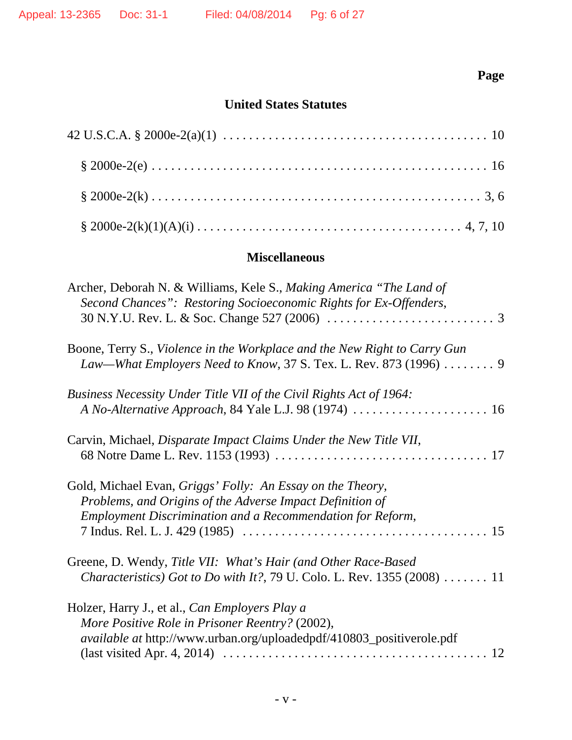# **Page**

## **United States Statutes**

#### **Miscellaneous**

| Archer, Deborah N. & Williams, Kele S., Making America "The Land of<br>Second Chances": Restoring Socioeconomic Rights for Ex-Offenders,<br>30 N.Y.U. Rev. L. & Soc. Change 527 (2006) $\ldots \ldots \ldots \ldots \ldots \ldots \ldots$ |
|-------------------------------------------------------------------------------------------------------------------------------------------------------------------------------------------------------------------------------------------|
| Boone, Terry S., Violence in the Workplace and the New Right to Carry Gun<br>Law—What Employers Need to Know, 37 S. Tex. L. Rev. 873 (1996)  9                                                                                            |
| Business Necessity Under Title VII of the Civil Rights Act of 1964:                                                                                                                                                                       |
| Carvin, Michael, Disparate Impact Claims Under the New Title VII,                                                                                                                                                                         |
| Gold, Michael Evan, Griggs' Folly: An Essay on the Theory,<br>Problems, and Origins of the Adverse Impact Definition of<br>Employment Discrimination and a Recommendation for Reform,                                                     |
| Greene, D. Wendy, Title VII: What's Hair (and Other Race-Based<br><i>Characteristics</i> ) Got to Do with It?, 79 U. Colo. L. Rev. 1355 (2008) $\dots \dots 11$                                                                           |
| Holzer, Harry J., et al., Can Employers Play a<br>More Positive Role in Prisoner Reentry? (2002),<br><i>available at http://www.urban.org/uploadedpdf/410803_positiverole.pdf</i>                                                         |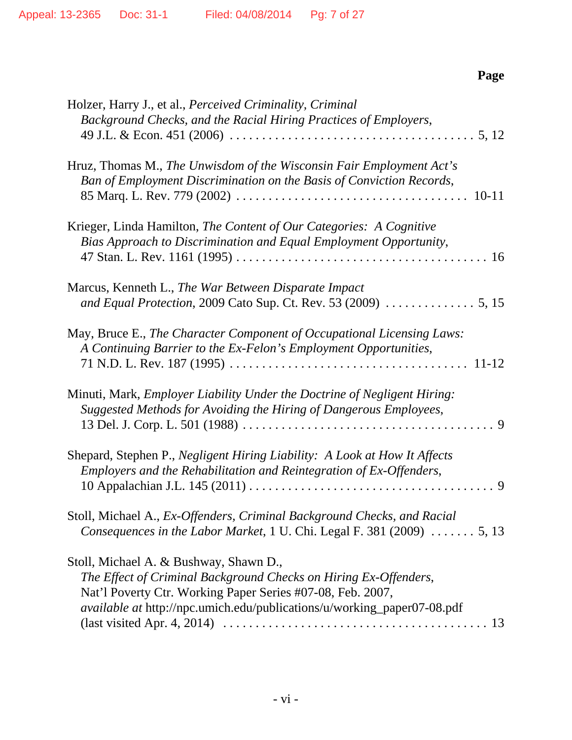|--|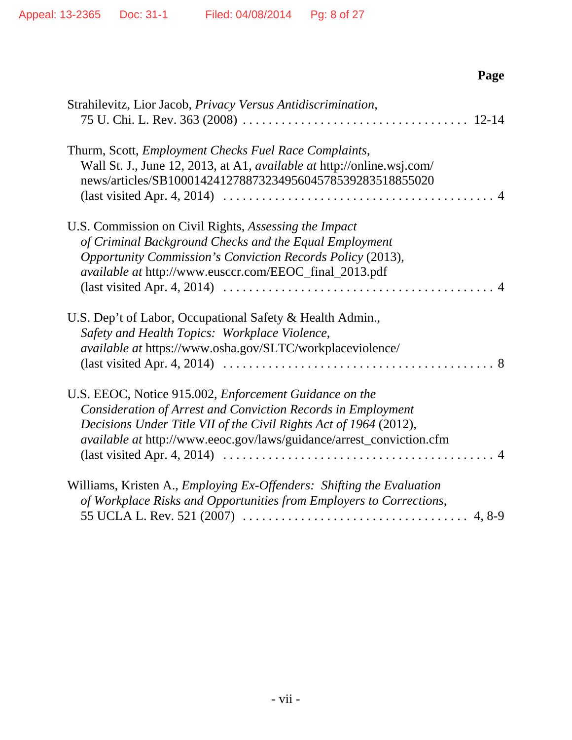| Page                                                                                                                                                                                                                                                                                                                                                                                         |
|----------------------------------------------------------------------------------------------------------------------------------------------------------------------------------------------------------------------------------------------------------------------------------------------------------------------------------------------------------------------------------------------|
| Strahilevitz, Lior Jacob, Privacy Versus Antidiscrimination,                                                                                                                                                                                                                                                                                                                                 |
| Thurm, Scott, <i>Employment Checks Fuel Race Complaints</i> ,<br>Wall St. J., June 12, 2013, at A1, <i>available at</i> http://online.wsj.com/<br>news/articles/SB10001424127887323495604578539283518855020<br>$\text{(last visited Apr. 4, 2014)} \dots \dots \dots \dots \dots \dots \dots \dots \dots \dots \dots \dots \dots \dots \dots \dots \dots$                                    |
| U.S. Commission on Civil Rights, Assessing the Impact<br>of Criminal Background Checks and the Equal Employment<br>Opportunity Commission's Conviction Records Policy (2013),<br><i>available at http://www.eusccr.com/EEOC_final_2013.pdf</i><br>$\text{(last visited Apr. 4, 2014)} \dots \dots \dots \dots \dots \dots \dots \dots \dots \dots \dots \dots \dots \dots \dots \dots \dots$ |
| U.S. Dep't of Labor, Occupational Safety & Health Admin.,<br>Safety and Health Topics: Workplace Violence,<br><i>available at https://www.osha.gov/SLTC/workplaceviolence/</i>                                                                                                                                                                                                               |
| U.S. EEOC, Notice 915.002, Enforcement Guidance on the<br>Consideration of Arrest and Conviction Records in Employment<br>Decisions Under Title VII of the Civil Rights Act of 1964 (2012),<br><i>available at http://www.eeoc.gov/laws/guidance/arrest_conviction.cfm</i>                                                                                                                   |
| Williams, Kristen A., <i>Employing Ex-Offenders: Shifting the Evaluation</i><br>of Workplace Risks and Opportunities from Employers to Corrections,                                                                                                                                                                                                                                          |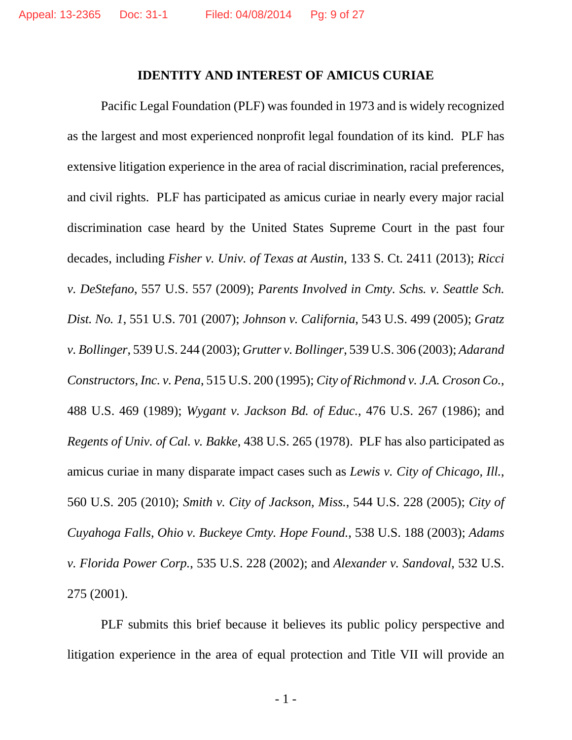#### **IDENTITY AND INTEREST OF AMICUS CURIAE**

Pacific Legal Foundation (PLF) was founded in 1973 and is widely recognized as the largest and most experienced nonprofit legal foundation of its kind. PLF has extensive litigation experience in the area of racial discrimination, racial preferences, and civil rights. PLF has participated as amicus curiae in nearly every major racial discrimination case heard by the United States Supreme Court in the past four decades, including *Fisher v. Univ. of Texas at Austin*, 133 S. Ct. 2411 (2013); *Ricci v. DeStefano*, 557 U.S. 557 (2009); *Parents Involved in Cmty. Schs. v. Seattle Sch. Dist. No. 1*, 551 U.S. 701 (2007); *Johnson v. California*, 543 U.S. 499 (2005); *Gratz v. Bollinger*, 539 U.S. 244 (2003); *Grutter v. Bollinger*, 539 U.S. 306 (2003); *Adarand Constructors, Inc. v. Pena*, 515 U.S. 200 (1995); *City of Richmond v. J.A. Croson Co.*, 488 U.S. 469 (1989); *Wygant v. Jackson Bd. of Educ.*, 476 U.S. 267 (1986); and *Regents of Univ. of Cal. v. Bakke*, 438 U.S. 265 (1978). PLF has also participated as amicus curiae in many disparate impact cases such as *Lewis v. City of Chicago, Ill.*, 560 U.S. 205 (2010); *Smith v. City of Jackson, Miss.*, 544 U.S. 228 (2005); *City of Cuyahoga Falls, Ohio v. Buckeye Cmty. Hope Found.*, 538 U.S. 188 (2003); *Adams v. Florida Power Corp.*, 535 U.S. 228 (2002); and *Alexander v. Sandoval*, 532 U.S. 275 (2001).

PLF submits this brief because it believes its public policy perspective and litigation experience in the area of equal protection and Title VII will provide an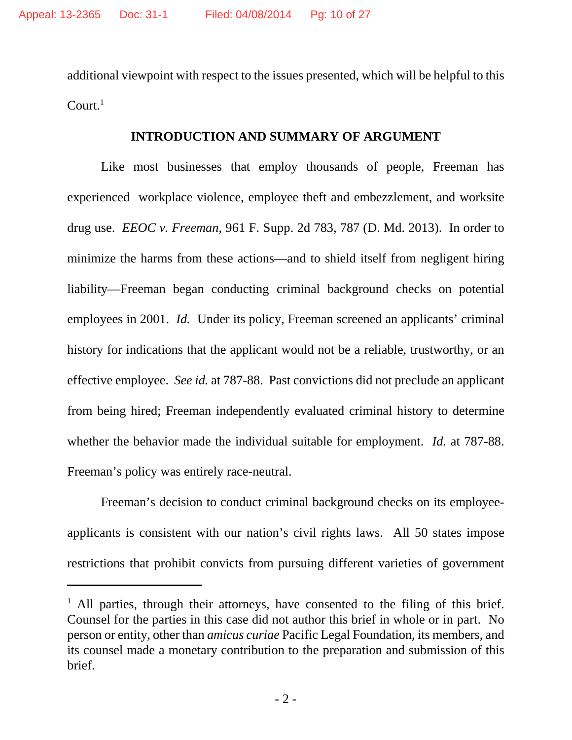additional viewpoint with respect to the issues presented, which will be helpful to this  $Count<sup>1</sup>$ 

#### **INTRODUCTION AND SUMMARY OF ARGUMENT**

Like most businesses that employ thousands of people, Freeman has experienced workplace violence, employee theft and embezzlement, and worksite drug use. *EEOC v. Freeman*, 961 F. Supp. 2d 783, 787 (D. Md. 2013). In order to minimize the harms from these actions—and to shield itself from negligent hiring liability—Freeman began conducting criminal background checks on potential employees in 2001. *Id.* Under its policy, Freeman screened an applicants' criminal history for indications that the applicant would not be a reliable, trustworthy, or an effective employee. *See id.* at 787-88. Past convictions did not preclude an applicant from being hired; Freeman independently evaluated criminal history to determine whether the behavior made the individual suitable for employment. *Id.* at 787-88. Freeman's policy was entirely race-neutral.

Freeman's decision to conduct criminal background checks on its employeeapplicants is consistent with our nation's civil rights laws. All 50 states impose restrictions that prohibit convicts from pursuing different varieties of government

<sup>&</sup>lt;sup>1</sup> All parties, through their attorneys, have consented to the filing of this brief. Counsel for the parties in this case did not author this brief in whole or in part. No person or entity, other than *amicus curiae* Pacific Legal Foundation, its members, and its counsel made a monetary contribution to the preparation and submission of this brief.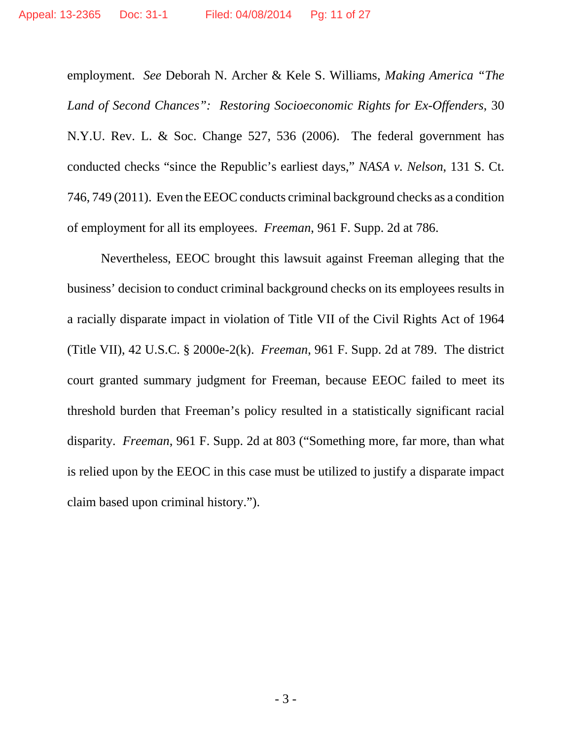employment. *See* Deborah N. Archer & Kele S. Williams, *Making America "The Land of Second Chances": Restoring Socioeconomic Rights for Ex-Offenders*, 30 N.Y.U. Rev. L. & Soc. Change 527, 536 (2006). The federal government has conducted checks "since the Republic's earliest days," *NASA v. Nelson*, 131 S. Ct. 746, 749 (2011). Even the EEOC conducts criminal background checks as a condition of employment for all its employees. *Freeman*, 961 F. Supp. 2d at 786.

Nevertheless, EEOC brought this lawsuit against Freeman alleging that the business' decision to conduct criminal background checks on its employees results in a racially disparate impact in violation of Title VII of the Civil Rights Act of 1964 (Title VII), 42 U.S.C. § 2000e-2(k). *Freeman*, 961 F. Supp. 2d at 789. The district court granted summary judgment for Freeman, because EEOC failed to meet its threshold burden that Freeman's policy resulted in a statistically significant racial disparity. *Freeman*, 961 F. Supp. 2d at 803 ("Something more, far more, than what is relied upon by the EEOC in this case must be utilized to justify a disparate impact claim based upon criminal history.").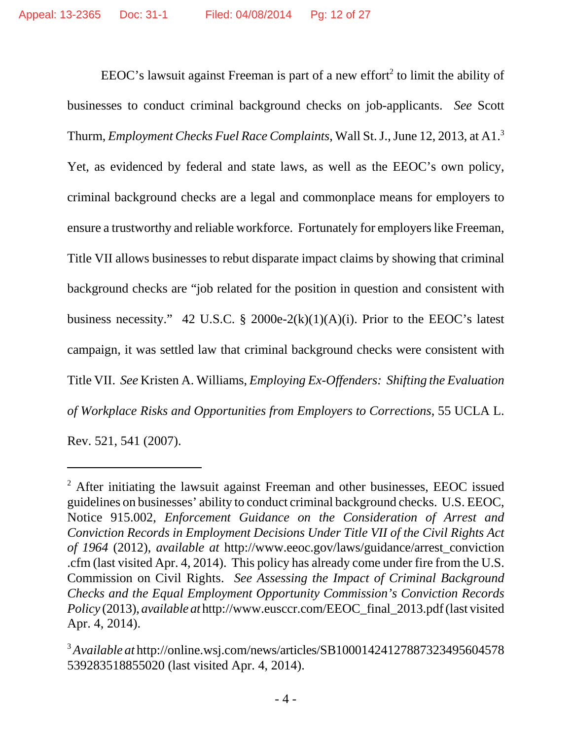EEOC's lawsuit against Freeman is part of a new effort<sup>2</sup> to limit the ability of businesses to conduct criminal background checks on job-applicants. *See* Scott Thurm, *Employment Checks Fuel Race Complaints*, Wall St. J., June 12, 2013, at A1.3 Yet, as evidenced by federal and state laws, as well as the EEOC's own policy, criminal background checks are a legal and commonplace means for employers to ensure a trustworthy and reliable workforce. Fortunately for employers like Freeman, Title VII allows businesses to rebut disparate impact claims by showing that criminal background checks are "job related for the position in question and consistent with business necessity." 42 U.S.C. § 2000e-2 $(k)(1)(A)(i)$ . Prior to the EEOC's latest campaign, it was settled law that criminal background checks were consistent with Title VII. *See* Kristen A. Williams, *Employing Ex-Offenders: Shifting the Evaluation of Workplace Risks and Opportunities from Employers to Corrections*, 55 UCLA L. Rev. 521, 541 (2007).

 $2$  After initiating the lawsuit against Freeman and other businesses, EEOC issued guidelines on businesses' ability to conduct criminal background checks. U.S. EEOC, Notice 915.002, *Enforcement Guidance on the Consideration of Arrest and Conviction Records in Employment Decisions Under Title VII of the Civil Rights Act of 1964* (2012), *available at* http://www.eeoc.gov/laws/guidance/arrest\_conviction .cfm (last visited Apr. 4, 2014). This policy has already come under fire from the U.S. Commission on Civil Rights. *See Assessing the Impact of Criminal Background Checks and the Equal Employment Opportunity Commission's Conviction Records Policy* (2013), *available at* http://www.eusccr.com/EEOC\_final\_2013.pdf (last visited Apr. 4, 2014).

<sup>3</sup>*Available at* http://online.wsj.com/news/articles/SB10001424127887323495604578 539283518855020 (last visited Apr. 4, 2014).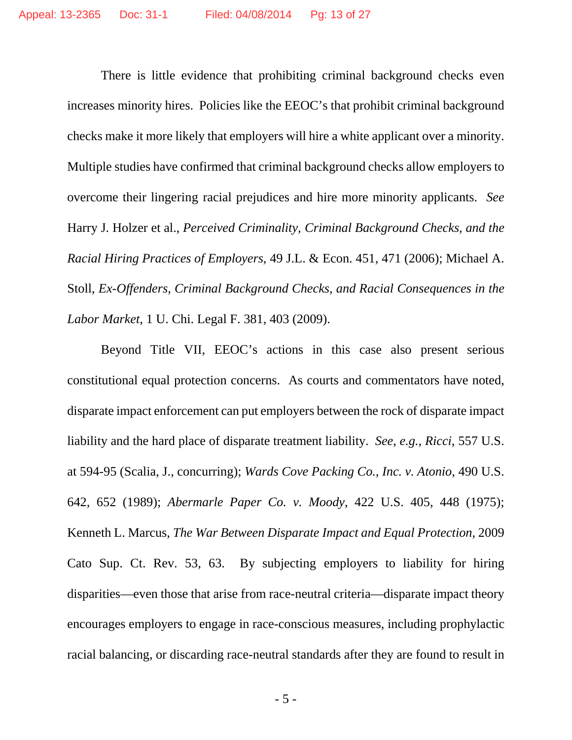There is little evidence that prohibiting criminal background checks even increases minority hires. Policies like the EEOC's that prohibit criminal background checks make it more likely that employers will hire a white applicant over a minority. Multiple studies have confirmed that criminal background checks allow employers to overcome their lingering racial prejudices and hire more minority applicants. *See* Harry J. Holzer et al., *Perceived Criminality, Criminal Background Checks, and the Racial Hiring Practices of Employers*, 49 J.L. & Econ. 451, 471 (2006); Michael A. Stoll, *Ex-Offenders, Criminal Background Checks, and Racial Consequences in the Labor Market*, 1 U. Chi. Legal F. 381, 403 (2009).

Beyond Title VII, EEOC's actions in this case also present serious constitutional equal protection concerns. As courts and commentators have noted, disparate impact enforcement can put employers between the rock of disparate impact liability and the hard place of disparate treatment liability. *See*, *e.g.*, *Ricci*, 557 U.S. at 594-95 (Scalia, J., concurring); *Wards Cove Packing Co., Inc. v. Atonio*, 490 U.S. 642, 652 (1989); *Abermarle Paper Co. v. Moody*, 422 U.S. 405, 448 (1975); Kenneth L. Marcus, *The War Between Disparate Impact and Equal Protection*, 2009 Cato Sup. Ct. Rev. 53, 63. By subjecting employers to liability for hiring disparities—even those that arise from race-neutral criteria—disparate impact theory encourages employers to engage in race-conscious measures, including prophylactic racial balancing, or discarding race-neutral standards after they are found to result in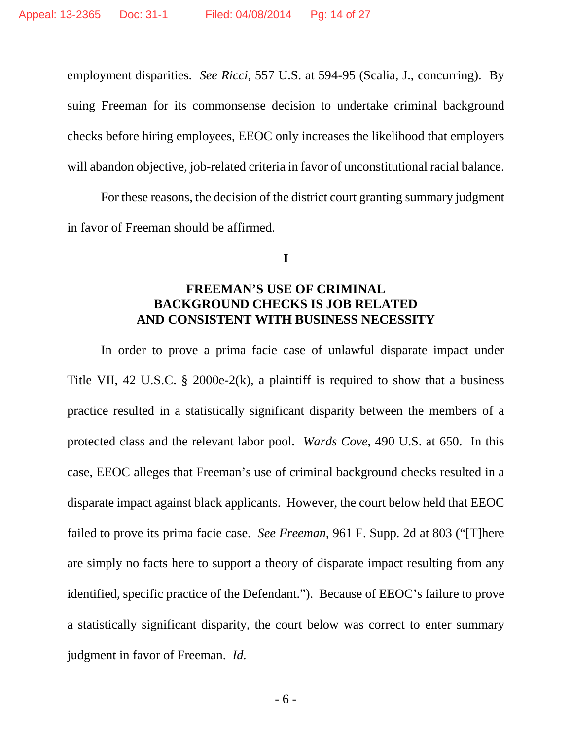employment disparities. *See Ricci*, 557 U.S. at 594-95 (Scalia, J., concurring). By suing Freeman for its commonsense decision to undertake criminal background checks before hiring employees, EEOC only increases the likelihood that employers will abandon objective, job-related criteria in favor of unconstitutional racial balance.

For these reasons, the decision of the district court granting summary judgment in favor of Freeman should be affirmed.

**I**

#### **FREEMAN'S USE OF CRIMINAL BACKGROUND CHECKS IS JOB RELATED AND CONSISTENT WITH BUSINESS NECESSITY**

In order to prove a prima facie case of unlawful disparate impact under Title VII, 42 U.S.C. § 2000e-2 $(k)$ , a plaintiff is required to show that a business practice resulted in a statistically significant disparity between the members of a protected class and the relevant labor pool. *Wards Cove*, 490 U.S. at 650. In this case, EEOC alleges that Freeman's use of criminal background checks resulted in a disparate impact against black applicants. However, the court below held that EEOC failed to prove its prima facie case. *See Freeman*, 961 F. Supp. 2d at 803 ("[T]here are simply no facts here to support a theory of disparate impact resulting from any identified, specific practice of the Defendant."). Because of EEOC's failure to prove a statistically significant disparity, the court below was correct to enter summary judgment in favor of Freeman. *Id.*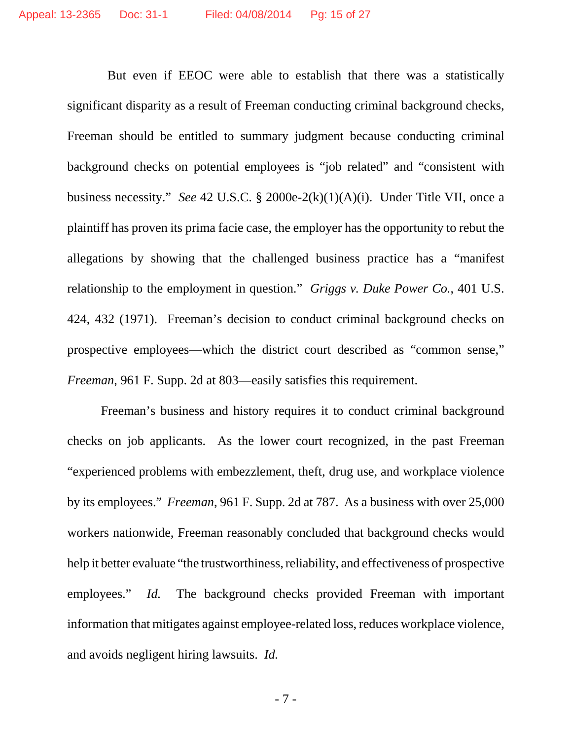But even if EEOC were able to establish that there was a statistically significant disparity as a result of Freeman conducting criminal background checks, Freeman should be entitled to summary judgment because conducting criminal background checks on potential employees is "job related" and "consistent with business necessity." *See* 42 U.S.C. § 2000e-2(k)(1)(A)(i). Under Title VII, once a plaintiff has proven its prima facie case, the employer has the opportunity to rebut the allegations by showing that the challenged business practice has a "manifest relationship to the employment in question." *Griggs v. Duke Power Co.*, 401 U.S. 424, 432 (1971). Freeman's decision to conduct criminal background checks on prospective employees—which the district court described as "common sense," *Freeman*, 961 F. Supp. 2d at 803—easily satisfies this requirement.

Freeman's business and history requires it to conduct criminal background checks on job applicants. As the lower court recognized, in the past Freeman "experienced problems with embezzlement, theft, drug use, and workplace violence by its employees." *Freeman*, 961 F. Supp. 2d at 787. As a business with over 25,000 workers nationwide, Freeman reasonably concluded that background checks would help it better evaluate "the trustworthiness, reliability, and effectiveness of prospective employees." *Id.* The background checks provided Freeman with important information that mitigates against employee-related loss, reduces workplace violence, and avoids negligent hiring lawsuits. *Id.*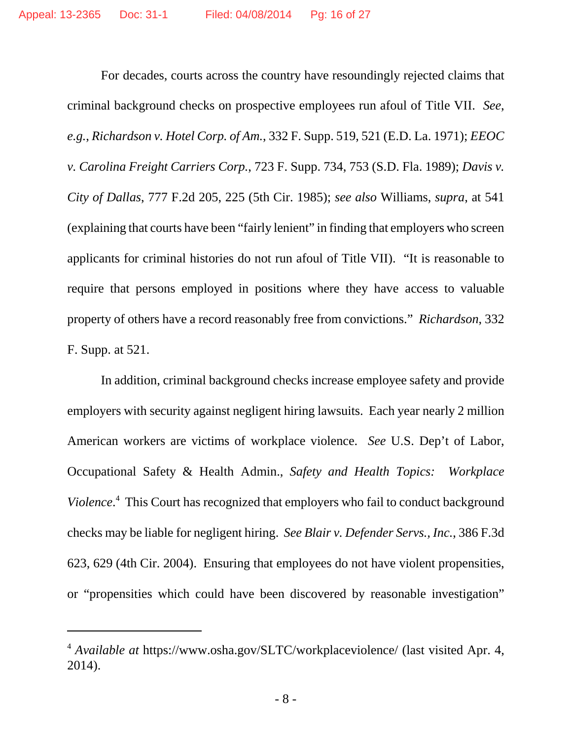For decades, courts across the country have resoundingly rejected claims that criminal background checks on prospective employees run afoul of Title VII. *See*, *e.g.*, *Richardson v. Hotel Corp. of Am.*, 332 F. Supp. 519, 521 (E.D. La. 1971); *EEOC v. Carolina Freight Carriers Corp.*, 723 F. Supp. 734, 753 (S.D. Fla. 1989); *Davis v. City of Dallas*, 777 F.2d 205, 225 (5th Cir. 1985); *see also* Williams, *supra*, at 541 (explaining that courts have been "fairly lenient" in finding that employers who screen applicants for criminal histories do not run afoul of Title VII). "It is reasonable to require that persons employed in positions where they have access to valuable property of others have a record reasonably free from convictions." *Richardson*, 332 F. Supp. at 521.

In addition, criminal background checks increase employee safety and provide employers with security against negligent hiring lawsuits. Each year nearly 2 million American workers are victims of workplace violence. *See* U.S. Dep't of Labor, Occupational Safety & Health Admin., *Safety and Health Topics: Workplace Violence*. 4 This Court has recognized that employers who fail to conduct background checks may be liable for negligent hiring. *See Blair v. Defender Servs., Inc.*, 386 F.3d 623, 629 (4th Cir. 2004). Ensuring that employees do not have violent propensities, or "propensities which could have been discovered by reasonable investigation"

<sup>4</sup> *Available at* https://www.osha.gov/SLTC/workplaceviolence/ (last visited Apr. 4, 2014).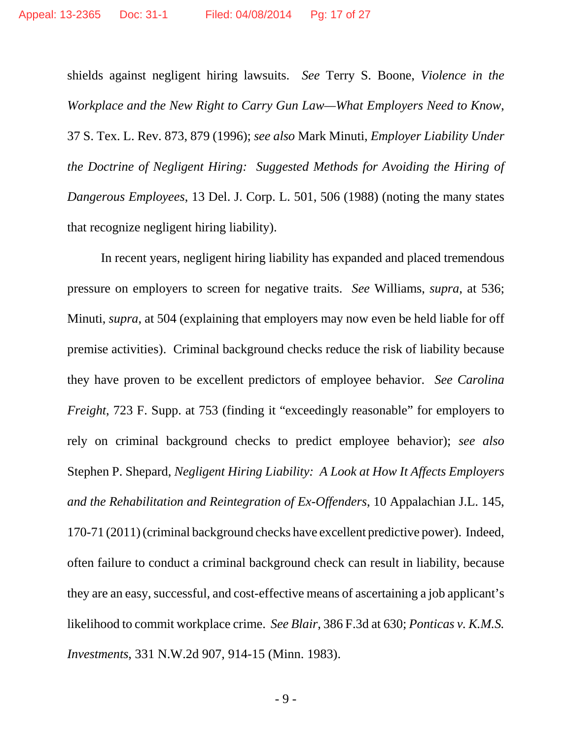shields against negligent hiring lawsuits. *See* Terry S. Boone, *Violence in the Workplace and the New Right to Carry Gun Law—What Employers Need to Know*, 37 S. Tex. L. Rev. 873, 879 (1996); *see also* Mark Minuti, *Employer Liability Under the Doctrine of Negligent Hiring: Suggested Methods for Avoiding the Hiring of Dangerous Employees*, 13 Del. J. Corp. L. 501, 506 (1988) (noting the many states that recognize negligent hiring liability).

In recent years, negligent hiring liability has expanded and placed tremendous pressure on employers to screen for negative traits. *See* Williams, *supra*, at 536; Minuti, *supra*, at 504 (explaining that employers may now even be held liable for off premise activities). Criminal background checks reduce the risk of liability because they have proven to be excellent predictors of employee behavior. *See Carolina Freight*, 723 F. Supp. at 753 (finding it "exceedingly reasonable" for employers to rely on criminal background checks to predict employee behavior); *see also* Stephen P. Shepard, *Negligent Hiring Liability: A Look at How It Affects Employers and the Rehabilitation and Reintegration of Ex-Offenders*, 10 Appalachian J.L. 145, 170-71 (2011) (criminal background checks have excellent predictive power). Indeed, often failure to conduct a criminal background check can result in liability, because they are an easy, successful, and cost-effective means of ascertaining a job applicant's likelihood to commit workplace crime. *See Blair*, 386 F.3d at 630; *Ponticas v. K.M.S. Investments*, 331 N.W.2d 907, 914-15 (Minn. 1983).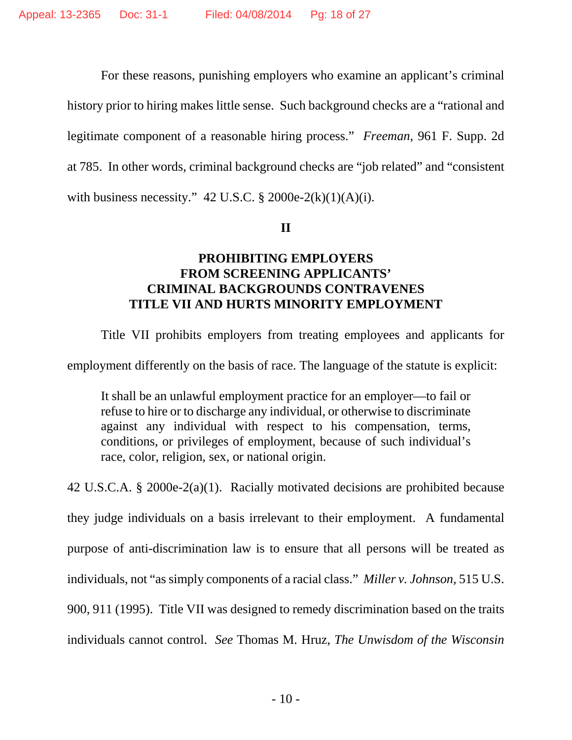For these reasons, punishing employers who examine an applicant's criminal history prior to hiring makes little sense. Such background checks are a "rational and legitimate component of a reasonable hiring process." *Freeman*, 961 F. Supp. 2d at 785. In other words, criminal background checks are "job related" and "consistent with business necessity."  $42$  U.S.C. § 2000e-2(k)(1)(A)(i).

**II**

## **PROHIBITING EMPLOYERS FROM SCREENING APPLICANTS' CRIMINAL BACKGROUNDS CONTRAVENES TITLE VII AND HURTS MINORITY EMPLOYMENT**

Title VII prohibits employers from treating employees and applicants for

employment differently on the basis of race. The language of the statute is explicit:

It shall be an unlawful employment practice for an employer—to fail or refuse to hire or to discharge any individual, or otherwise to discriminate against any individual with respect to his compensation, terms, conditions, or privileges of employment, because of such individual's race, color, religion, sex, or national origin.

42 U.S.C.A. § 2000e-2(a)(1). Racially motivated decisions are prohibited because they judge individuals on a basis irrelevant to their employment. A fundamental purpose of anti-discrimination law is to ensure that all persons will be treated as individuals, not "as simply components of a racial class." *Miller v. Johnson*, 515 U.S. 900, 911 (1995). Title VII was designed to remedy discrimination based on the traits individuals cannot control. *See* Thomas M. Hruz, *The Unwisdom of the Wisconsin*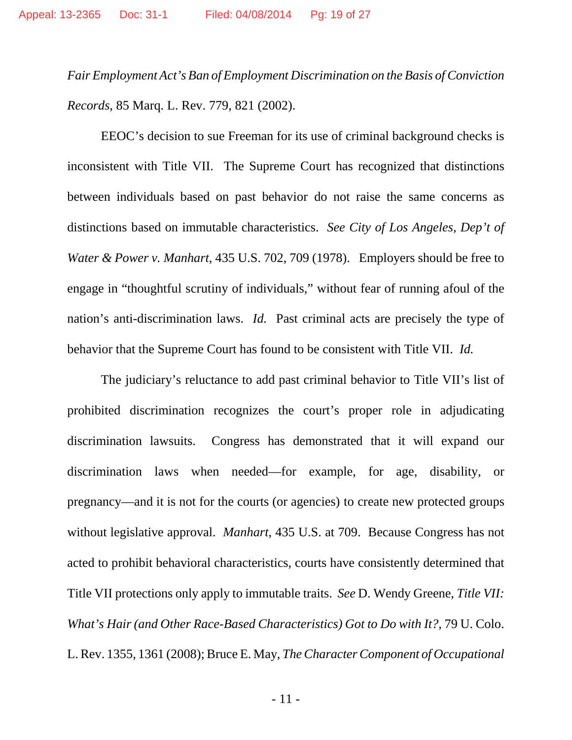*Fair Employment Act's Ban of Employment Discrimination on the Basis of Conviction Records*, 85 Marq. L. Rev. 779, 821 (2002).

EEOC's decision to sue Freeman for its use of criminal background checks is inconsistent with Title VII. The Supreme Court has recognized that distinctions between individuals based on past behavior do not raise the same concerns as distinctions based on immutable characteristics. *See City of Los Angeles, Dep't of Water & Power v. Manhart*, 435 U.S. 702, 709 (1978). Employers should be free to engage in "thoughtful scrutiny of individuals," without fear of running afoul of the nation's anti-discrimination laws. *Id.* Past criminal acts are precisely the type of behavior that the Supreme Court has found to be consistent with Title VII. *Id.*

The judiciary's reluctance to add past criminal behavior to Title VII's list of prohibited discrimination recognizes the court's proper role in adjudicating discrimination lawsuits. Congress has demonstrated that it will expand our discrimination laws when needed—for example, for age, disability, or pregnancy—and it is not for the courts (or agencies) to create new protected groups without legislative approval. *Manhart*, 435 U.S. at 709. Because Congress has not acted to prohibit behavioral characteristics, courts have consistently determined that Title VII protections only apply to immutable traits. *See* D. Wendy Greene, *Title VII: What's Hair (and Other Race-Based Characteristics) Got to Do with It?*, 79 U. Colo. L. Rev. 1355, 1361 (2008); Bruce E. May, *The Character Component of Occupational*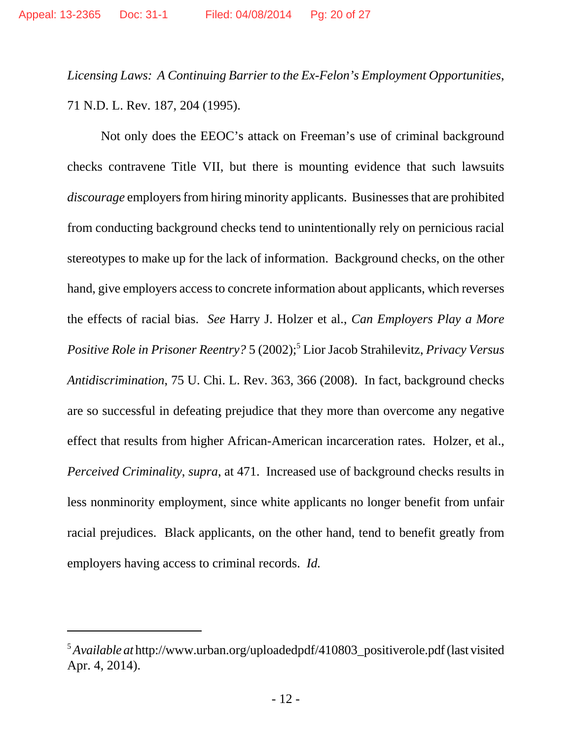*Licensing Laws: A Continuing Barrier to the Ex-Felon's Employment Opportunities*, 71 N.D. L. Rev. 187, 204 (1995).

Not only does the EEOC's attack on Freeman's use of criminal background checks contravene Title VII, but there is mounting evidence that such lawsuits *discourage* employers from hiring minority applicants. Businesses that are prohibited from conducting background checks tend to unintentionally rely on pernicious racial stereotypes to make up for the lack of information. Background checks, on the other hand, give employers access to concrete information about applicants, which reverses the effects of racial bias. *See* Harry J. Holzer et al., *Can Employers Play a More* Positive Role in Prisoner Reentry? 5 (2002);<sup>5</sup> Lior Jacob Strahilevitz, Privacy Versus *Antidiscrimination*, 75 U. Chi. L. Rev. 363, 366 (2008). In fact, background checks are so successful in defeating prejudice that they more than overcome any negative effect that results from higher African-American incarceration rates. Holzer, et al., *Perceived Criminality*, *supra*, at 471. Increased use of background checks results in less nonminority employment, since white applicants no longer benefit from unfair racial prejudices. Black applicants, on the other hand, tend to benefit greatly from employers having access to criminal records. *Id.*

<sup>5</sup>*Available at* http://www.urban.org/uploadedpdf/410803\_positiverole.pdf (last visited Apr. 4, 2014).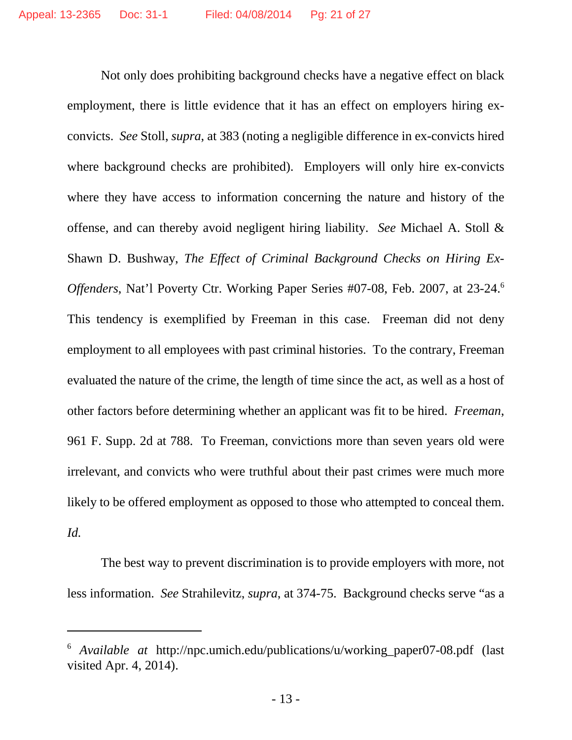Not only does prohibiting background checks have a negative effect on black employment, there is little evidence that it has an effect on employers hiring exconvicts. *See* Stoll, *supra*, at 383 (noting a negligible difference in ex-convicts hired where background checks are prohibited). Employers will only hire ex-convicts where they have access to information concerning the nature and history of the offense, and can thereby avoid negligent hiring liability. *See* Michael A. Stoll & Shawn D. Bushway, *The Effect of Criminal Background Checks on Hiring Ex-Offenders*, Nat'l Poverty Ctr. Working Paper Series #07-08, Feb. 2007, at 23-24.<sup>6</sup> This tendency is exemplified by Freeman in this case. Freeman did not deny employment to all employees with past criminal histories. To the contrary, Freeman evaluated the nature of the crime, the length of time since the act, as well as a host of other factors before determining whether an applicant was fit to be hired. *Freeman*, 961 F. Supp. 2d at 788. To Freeman, convictions more than seven years old were irrelevant, and convicts who were truthful about their past crimes were much more likely to be offered employment as opposed to those who attempted to conceal them. *Id.*

The best way to prevent discrimination is to provide employers with more, not less information. *See* Strahilevitz, *supra*, at 374-75. Background checks serve "as a

<sup>6</sup> *Available at* http://npc.umich.edu/publications/u/working\_paper07-08.pdf (last visited Apr. 4, 2014).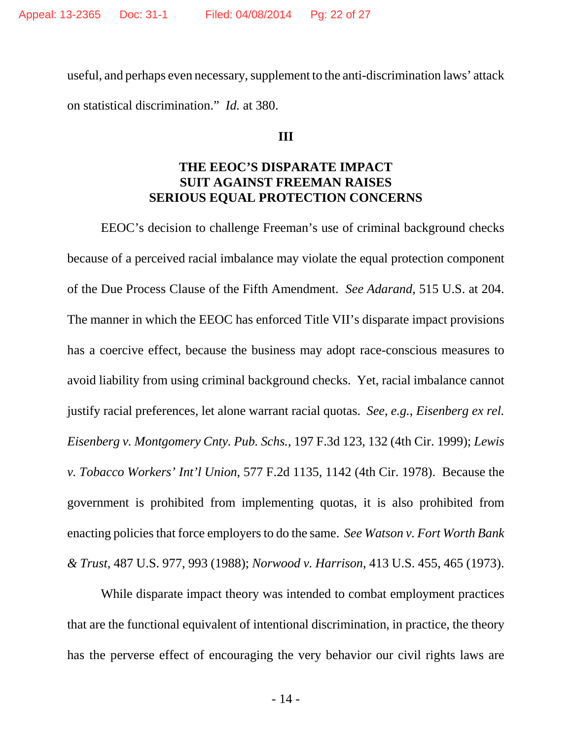useful, and perhaps even necessary, supplement to the anti-discrimination laws' attack on statistical discrimination." *Id.* at 380.

#### **III**

#### **THE EEOC'S DISPARATE IMPACT SUIT AGAINST FREEMAN RAISES SERIOUS EQUAL PROTECTION CONCERNS**

EEOC's decision to challenge Freeman's use of criminal background checks because of a perceived racial imbalance may violate the equal protection component of the Due Process Clause of the Fifth Amendment. *See Adarand*, 515 U.S. at 204. The manner in which the EEOC has enforced Title VII's disparate impact provisions has a coercive effect, because the business may adopt race-conscious measures to avoid liability from using criminal background checks. Yet, racial imbalance cannot justify racial preferences, let alone warrant racial quotas. *See*, *e.g.*, *Eisenberg ex rel. Eisenberg v. Montgomery Cnty. Pub. Schs.*, 197 F.3d 123, 132 (4th Cir. 1999); *Lewis v. Tobacco Workers' Int'l Union*, 577 F.2d 1135, 1142 (4th Cir. 1978). Because the government is prohibited from implementing quotas, it is also prohibited from enacting policies that force employers to do the same. *See Watson v. Fort Worth Bank & Trust*, 487 U.S. 977, 993 (1988); *Norwood v. Harrison*, 413 U.S. 455, 465 (1973).

While disparate impact theory was intended to combat employment practices that are the functional equivalent of intentional discrimination, in practice, the theory has the perverse effect of encouraging the very behavior our civil rights laws are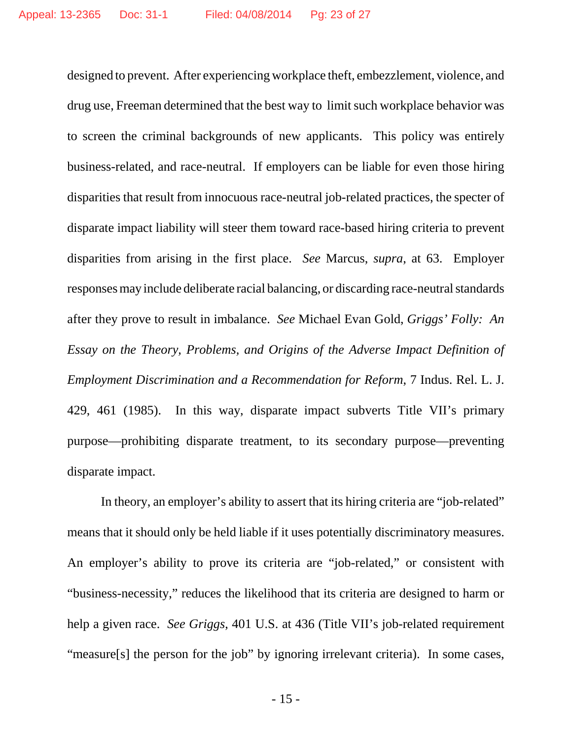designed to prevent. After experiencing workplace theft, embezzlement, violence, and drug use, Freeman determined that the best way to limit such workplace behavior was to screen the criminal backgrounds of new applicants. This policy was entirely business-related, and race-neutral. If employers can be liable for even those hiring disparities that result from innocuous race-neutral job-related practices, the specter of disparate impact liability will steer them toward race-based hiring criteria to prevent disparities from arising in the first place. *See* Marcus, *supra*, at 63. Employer responses may include deliberate racial balancing, or discarding race-neutral standards after they prove to result in imbalance. *See* Michael Evan Gold, *Griggs' Folly: An Essay on the Theory, Problems, and Origins of the Adverse Impact Definition of Employment Discrimination and a Recommendation for Reform*, 7 Indus. Rel. L. J. 429, 461 (1985). In this way, disparate impact subverts Title VII's primary purpose—prohibiting disparate treatment, to its secondary purpose—preventing disparate impact.

In theory, an employer's ability to assert that its hiring criteria are "job-related" means that it should only be held liable if it uses potentially discriminatory measures. An employer's ability to prove its criteria are "job-related," or consistent with "business-necessity," reduces the likelihood that its criteria are designed to harm or help a given race. *See Griggs*, 401 U.S. at 436 (Title VII's job-related requirement "measure[s] the person for the job" by ignoring irrelevant criteria). In some cases,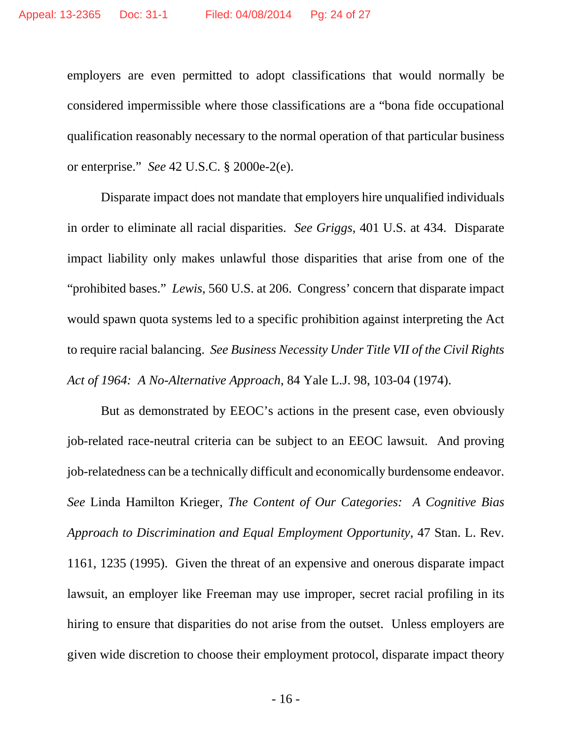employers are even permitted to adopt classifications that would normally be considered impermissible where those classifications are a "bona fide occupational qualification reasonably necessary to the normal operation of that particular business or enterprise." *See* 42 U.S.C. § 2000e-2(e).

Disparate impact does not mandate that employers hire unqualified individuals in order to eliminate all racial disparities. *See Griggs*, 401 U.S. at 434. Disparate impact liability only makes unlawful those disparities that arise from one of the "prohibited bases." *Lewis*, 560 U.S. at 206. Congress' concern that disparate impact would spawn quota systems led to a specific prohibition against interpreting the Act to require racial balancing. *See Business Necessity Under Title VII of the Civil Rights Act of 1964: A No-Alternative Approach*, 84 Yale L.J. 98, 103-04 (1974).

But as demonstrated by EEOC's actions in the present case, even obviously job-related race-neutral criteria can be subject to an EEOC lawsuit. And proving job-relatedness can be a technically difficult and economically burdensome endeavor. *See* Linda Hamilton Krieger, *The Content of Our Categories: A Cognitive Bias Approach to Discrimination and Equal Employment Opportunity*, 47 Stan. L. Rev. 1161, 1235 (1995). Given the threat of an expensive and onerous disparate impact lawsuit, an employer like Freeman may use improper, secret racial profiling in its hiring to ensure that disparities do not arise from the outset. Unless employers are given wide discretion to choose their employment protocol, disparate impact theory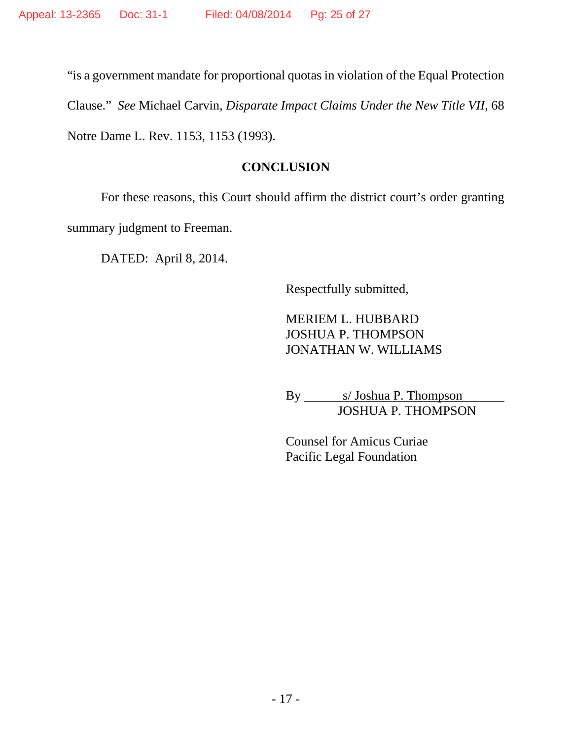"is a government mandate for proportional quotas in violation of the Equal Protection Clause." *See* Michael Carvin, *Disparate Impact Claims Under the New Title VII*, 68 Notre Dame L. Rev. 1153, 1153 (1993).

#### **CONCLUSION**

For these reasons, this Court should affirm the district court's order granting summary judgment to Freeman.

DATED: April 8, 2014.

Respectfully submitted,

MERIEM L. HUBBARD JOSHUA P. THOMPSON JONATHAN W. WILLIAMS

By s/ Joshua P. Thompson JOSHUA P. THOMPSON

Counsel for Amicus Curiae Pacific Legal Foundation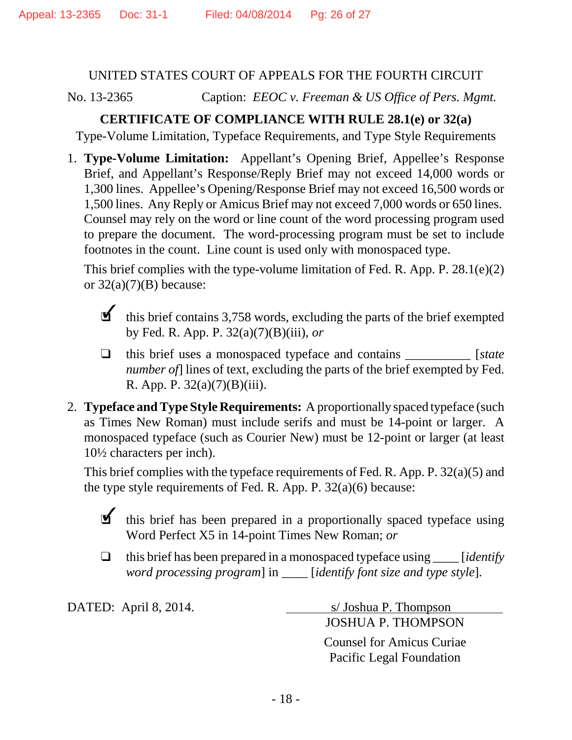#### UNITED STATES COURT OF APPEALS FOR THE FOURTH CIRCUIT

No. 13-2365 Caption: *EEOC v. Freeman & US Office of Pers. Mgmt.*

## **CERTIFICATE OF COMPLIANCE WITH RULE 28.1(e) or 32(a)**

Type-Volume Limitation, Typeface Requirements, and Type Style Requirements

1. **Type-Volume Limitation:** Appellant's Opening Brief, Appellee's Response Brief, and Appellant's Response/Reply Brief may not exceed 14,000 words or 1,300 lines. Appellee's Opening/Response Brief may not exceed 16,500 words or 1,500 lines. Any Reply or Amicus Brief may not exceed 7,000 words or 650 lines. Counsel may rely on the word or line count of the word processing program used to prepare the document. The word-processing program must be set to include footnotes in the count. Line count is used only with monospaced type.

This brief complies with the type-volume limitation of Fed. R. App. P. 28.1(e)(2) or  $32(a)(7)(B)$  because:

 $\blacksquare$  this brief contains 3,758 words, excluding the parts of the brief exempted by Fed. R. App. P. 32(a)(7)(B)(iii), *or*

- $\Box$  this brief uses a monospaced typeface and contains [*state*] *number of* lines of text, excluding the parts of the brief exempted by Fed. R. App. P. 32(a)(7)(B)(iii).
- 2. **Typeface and Type Style Requirements:** A proportionally spaced typeface (such as Times New Roman) must include serifs and must be 14-point or larger. A monospaced typeface (such as Courier New) must be 12-point or larger (at least 10½ characters per inch).

This brief complies with the typeface requirements of Fed. R. App. P. 32(a)(5) and the type style requirements of Fed. R. App. P.  $32(a)(6)$  because:

This brief has been prepared in a proportionally spaced typeface using Word Perfect X5 in 14-point Times New Roman; *or*

" this brief has been prepared in a monospaced typeface using \_\_\_\_ [*identify word processing program*] in \_\_\_\_ [*identify font size and type style*].

DATED: April 8, 2014. s/ Joshua P. Thompson JOSHUA P. THOMPSON

> Counsel for Amicus Curiae Pacific Legal Foundation